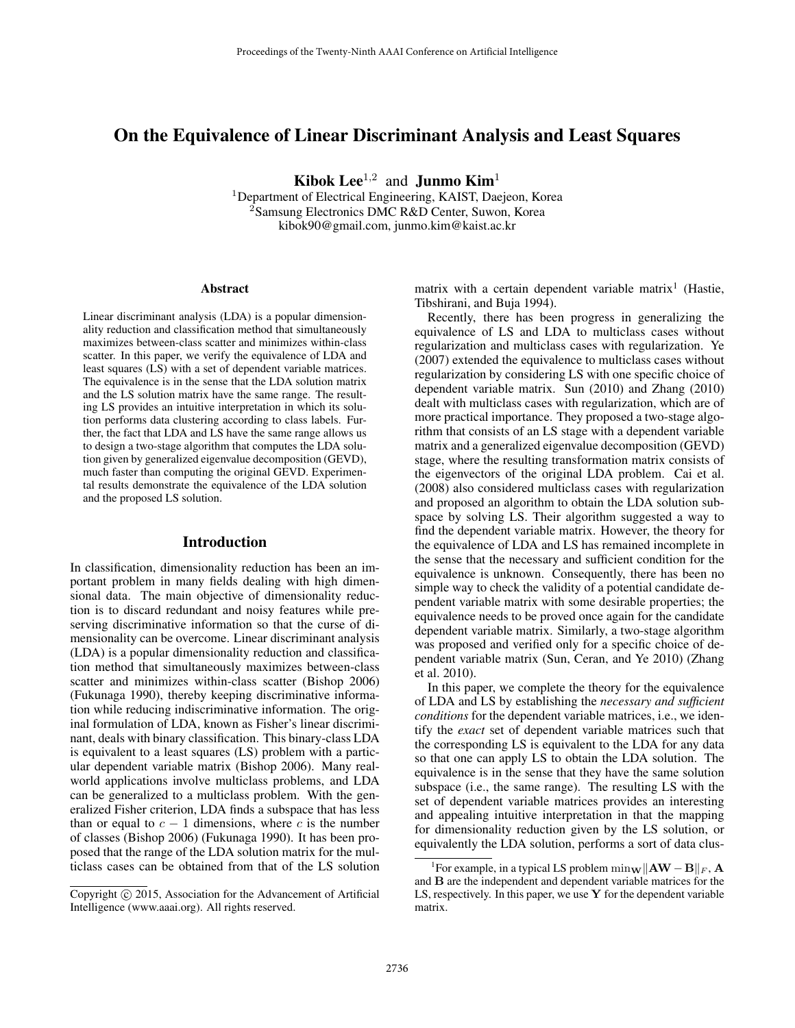# On the Equivalence of Linear Discriminant Analysis and Least Squares

Kibok Lee<sup>1,2</sup> and **Junmo Kim**<sup>1</sup>

<sup>1</sup>Department of Electrical Engineering, KAIST, Daejeon, Korea <sup>2</sup>Samsung Electronics DMC R&D Center, Suwon, Korea kibok90@gmail.com, junmo.kim@kaist.ac.kr

#### Abstract

Linear discriminant analysis (LDA) is a popular dimensionality reduction and classification method that simultaneously maximizes between-class scatter and minimizes within-class scatter. In this paper, we verify the equivalence of LDA and least squares (LS) with a set of dependent variable matrices. The equivalence is in the sense that the LDA solution matrix and the LS solution matrix have the same range. The resulting LS provides an intuitive interpretation in which its solution performs data clustering according to class labels. Further, the fact that LDA and LS have the same range allows us to design a two-stage algorithm that computes the LDA solution given by generalized eigenvalue decomposition (GEVD), much faster than computing the original GEVD. Experimental results demonstrate the equivalence of the LDA solution and the proposed LS solution.

## Introduction

In classification, dimensionality reduction has been an important problem in many fields dealing with high dimensional data. The main objective of dimensionality reduction is to discard redundant and noisy features while preserving discriminative information so that the curse of dimensionality can be overcome. Linear discriminant analysis (LDA) is a popular dimensionality reduction and classification method that simultaneously maximizes between-class scatter and minimizes within-class scatter (Bishop 2006) (Fukunaga 1990), thereby keeping discriminative information while reducing indiscriminative information. The original formulation of LDA, known as Fisher's linear discriminant, deals with binary classification. This binary-class LDA is equivalent to a least squares (LS) problem with a particular dependent variable matrix (Bishop 2006). Many realworld applications involve multiclass problems, and LDA can be generalized to a multiclass problem. With the generalized Fisher criterion, LDA finds a subspace that has less than or equal to  $c - 1$  dimensions, where c is the number of classes (Bishop 2006) (Fukunaga 1990). It has been proposed that the range of the LDA solution matrix for the multiclass cases can be obtained from that of the LS solution

matrix with a certain dependent variable matrix<sup>1</sup> (Hastie, Tibshirani, and Buja 1994).

Recently, there has been progress in generalizing the equivalence of LS and LDA to multiclass cases without regularization and multiclass cases with regularization. Ye (2007) extended the equivalence to multiclass cases without regularization by considering LS with one specific choice of dependent variable matrix. Sun (2010) and Zhang (2010) dealt with multiclass cases with regularization, which are of more practical importance. They proposed a two-stage algorithm that consists of an LS stage with a dependent variable matrix and a generalized eigenvalue decomposition (GEVD) stage, where the resulting transformation matrix consists of the eigenvectors of the original LDA problem. Cai et al. (2008) also considered multiclass cases with regularization and proposed an algorithm to obtain the LDA solution subspace by solving LS. Their algorithm suggested a way to find the dependent variable matrix. However, the theory for the equivalence of LDA and LS has remained incomplete in the sense that the necessary and sufficient condition for the equivalence is unknown. Consequently, there has been no simple way to check the validity of a potential candidate dependent variable matrix with some desirable properties; the equivalence needs to be proved once again for the candidate dependent variable matrix. Similarly, a two-stage algorithm was proposed and verified only for a specific choice of dependent variable matrix (Sun, Ceran, and Ye 2010) (Zhang et al. 2010).

In this paper, we complete the theory for the equivalence of LDA and LS by establishing the *necessary and sufficient conditions* for the dependent variable matrices, i.e., we identify the *exact* set of dependent variable matrices such that the corresponding LS is equivalent to the LDA for any data so that one can apply LS to obtain the LDA solution. The equivalence is in the sense that they have the same solution subspace (i.e., the same range). The resulting LS with the set of dependent variable matrices provides an interesting and appealing intuitive interpretation in that the mapping for dimensionality reduction given by the LS solution, or equivalently the LDA solution, performs a sort of data clus-

Copyright  $\odot$  2015, Association for the Advancement of Artificial Intelligence (www.aaai.org). All rights reserved.

<sup>&</sup>lt;sup>1</sup>For example, in a typical LS problem  $\min_{\mathbf{W}} \|\mathbf{A}\mathbf{W} - \mathbf{B}\|_F$ , **A** and B are the independent and dependent variable matrices for the LS, respectively. In this paper, we use  $Y$  for the dependent variable matrix.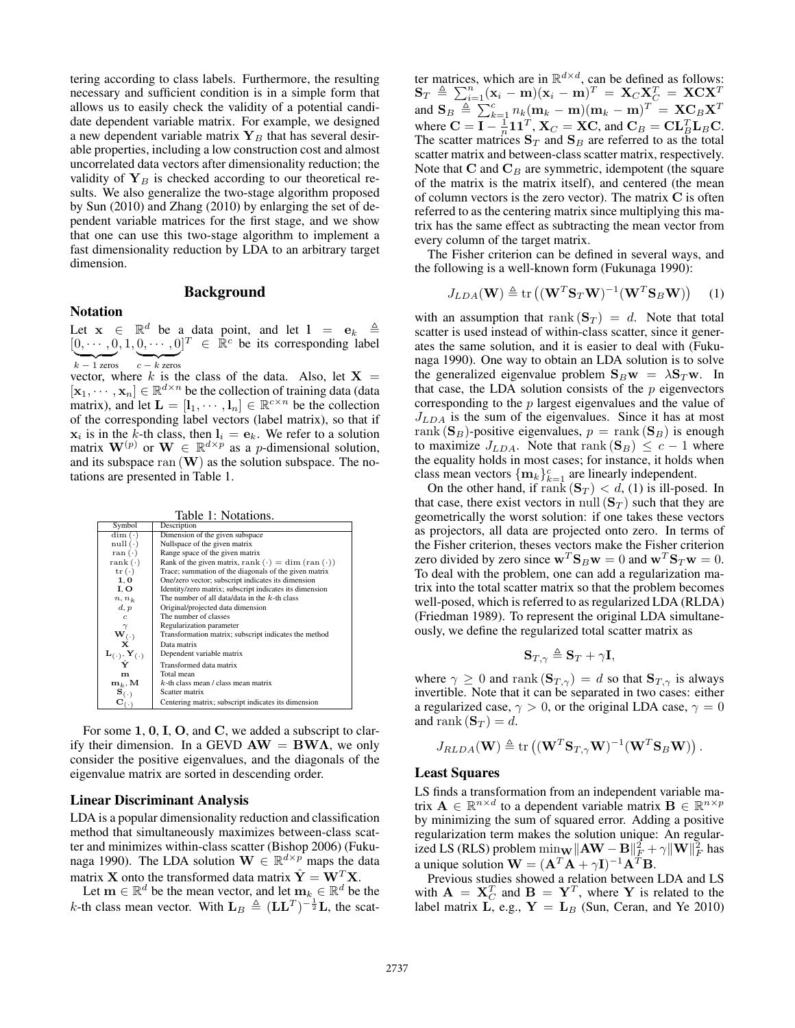tering according to class labels. Furthermore, the resulting necessary and sufficient condition is in a simple form that allows us to easily check the validity of a potential candidate dependent variable matrix. For example, we designed a new dependent variable matrix  $Y_B$  that has several desirable properties, including a low construction cost and almost uncorrelated data vectors after dimensionality reduction; the validity of  $Y_B$  is checked according to our theoretical results. We also generalize the two-stage algorithm proposed by Sun (2010) and Zhang (2010) by enlarging the set of dependent variable matrices for the first stage, and we show that one can use this two-stage algorithm to implement a fast dimensionality reduction by LDA to an arbitrary target dimension.

## Background

### Notation

Let  $\mathbf{x} \in \mathbb{R}^d$  be a data point, and let  $\mathbf{l} = \mathbf{e}_k \triangleq$  $[0, \cdots, 0, 1, 0, \cdots, 0]^T \in \mathbb{R}^c$  be its corresponding label  $k - 1$  zeros  $c - k$  zeros

vector, where k is the class of the data. Also, let  $X =$  $[\mathbf{x}_1, \dots, \mathbf{x}_n] \in \mathbb{R}^{d \times n}$  be the collection of training data (data matrix), and let  $\mathbf{L} = [\mathbf{l}_1, \cdots, \mathbf{l}_n] \in \mathbb{R}^{c \times n}$  be the collection of the corresponding label vectors (label matrix), so that if  $x_i$  is in the k-th class, then  $l_i = e_k$ . We refer to a solution matrix  $\mathbf{W}^{(p)}$  or  $\mathbf{W} \in \mathbb{R}^{d \times p}$  as a *p*-dimensional solution, and its subspace  $ran(W)$  as the solution subspace. The notations are presented in Table 1.

|                                              | Table 1: Notations.                                                  |
|----------------------------------------------|----------------------------------------------------------------------|
| Symbol                                       | Description                                                          |
| $\dim (\cdot)$                               | Dimension of the given subspace                                      |
| null(·)                                      | Nullspace of the given matrix                                        |
| ran $(\cdot)$                                | Range space of the given matrix                                      |
| rank $(\cdot)$                               | Rank of the given matrix, rank $(\cdot) = \dim (\text{ran} (\cdot))$ |
| $tr(\cdot)$                                  | Trace; summation of the diagonals of the given matrix                |
| 1,0                                          | One/zero vector; subscript indicates its dimension                   |
| I. O                                         | Identity/zero matrix; subscript indicates its dimension              |
| $n, n_k$                                     | The number of all data/data in the $k$ -th class                     |
| d, p                                         | Original/projected data dimension                                    |
| $\epsilon$                                   | The number of classes                                                |
|                                              | Regularization parameter                                             |
| $\mathbf{w}^{\gamma}_{\mathbf{X}^{(\cdot)}}$ | Transformation matrix; subscript indicates the method                |
|                                              | Data matrix                                                          |
| $\mathbf{L}_{(\cdot)},\mathbf{Y}_{(\cdot)}$  | Dependent variable matrix                                            |
|                                              | Transformed data matrix                                              |
| m                                            | Total mean                                                           |
| $\mathbf{m}_k, \mathbf{M}$                   | $k$ -th class mean / class mean matrix                               |
| $\mathbf{s}_{(\cdot)}$                       | Scatter matrix                                                       |
|                                              | Centering matrix; subscript indicates its dimension                  |

For some 1, 0, I, O, and C, we added a subscript to clarify their dimension. In a GEVD  $AW = BWA$ , we only consider the positive eigenvalues, and the diagonals of the eigenvalue matrix are sorted in descending order.

## Linear Discriminant Analysis

LDA is a popular dimensionality reduction and classification method that simultaneously maximizes between-class scatter and minimizes within-class scatter (Bishop 2006) (Fukunaga 1990). The LDA solution  $\mathbf{W} \in \mathbb{R}^{d \times p}$  maps the data matrix **X** onto the transformed data matrix  $\hat{\mathbf{Y}} = \mathbf{W}^T \mathbf{X}$ .

Let  $\mathbf{m} \in \mathbb{R}^d$  be the mean vector, and let  $\mathbf{m}_{k} \in \mathbb{R}^d$  be the *k*-th class mean vector. With  $\mathbf{L}_B \triangleq (\mathbf{L}\mathbf{L}^T)^{-\frac{1}{2}}\mathbf{L}$ , the scat-

ter matrices, which are in  $\mathbb{R}^{d \times d}$ , can be defined as follows:  $\mathbf{S}_T \ \triangleq \ \sum_{i=1}^n (\mathbf{x}_i - \mathbf{m})(\mathbf{x}_i - \mathbf{m})^T \ = \ \mathbf{X}_C \mathbf{X}_C^T \ = \ \mathbf{X} \mathbf{C} \mathbf{X}^T$ and  $\mathbf{S}_B \stackrel{\Delta}{=} \sum_{k=1}^c n_k (\mathbf{m}_k - \mathbf{m})(\mathbf{m}_k - \mathbf{m})^T = \mathbf{X} \mathbf{C}_B \mathbf{X}^T$ where  $C = I - \frac{1}{n} I I^T$ ,  $X_C = X C$ , and  $C_B = C L_B^T L_B C$ . The scatter matrices  $S_T$  and  $S_B$  are referred to as the total scatter matrix and between-class scatter matrix, respectively. Note that  $C$  and  $C_B$  are symmetric, idempotent (the square of the matrix is the matrix itself), and centered (the mean of column vectors is the zero vector). The matrix C is often referred to as the centering matrix since multiplying this matrix has the same effect as subtracting the mean vector from every column of the target matrix.

The Fisher criterion can be defined in several ways, and the following is a well-known form (Fukunaga 1990):

$$
J_{LDA}(\mathbf{W}) \triangleq \text{tr}\left((\mathbf{W}^T \mathbf{S}_T \mathbf{W})^{-1} (\mathbf{W}^T \mathbf{S}_B \mathbf{W})\right) \quad (1)
$$

with an assumption that rank  $({\bf S}_T) = d$ . Note that total scatter is used instead of within-class scatter, since it generates the same solution, and it is easier to deal with (Fukunaga 1990). One way to obtain an LDA solution is to solve the generalized eigenvalue problem  $S_Bw = \lambda S_Tw$ . In that case, the LDA solution consists of the  $p$  eigenvectors corresponding to the p largest eigenvalues and the value of  $J_{LDA}$  is the sum of the eigenvalues. Since it has at most rank  $(\mathbf{S}_B)$ -positive eigenvalues,  $p = \text{rank}(\mathbf{S}_B)$  is enough to maximize  $J_{LDA}$ . Note that rank  $(\mathbf{S}_B) \leq c - 1$  where the equality holds in most cases; for instance, it holds when class mean vectors  $\{\mathbf{m}_k\}_{k=1}^c$  are linearly independent.

On the other hand, if rank  $({\bf S}_T) < d$ , (1) is ill-posed. In that case, there exist vectors in null  $({\bf S}_T)$  such that they are geometrically the worst solution: if one takes these vectors as projectors, all data are projected onto zero. In terms of the Fisher criterion, theses vectors make the Fisher criterion zero divided by zero since  $\mathbf{w}^T \mathbf{S}_B \mathbf{w} = 0$  and  $\mathbf{w}^T \mathbf{S}_T \mathbf{w} = 0$ . To deal with the problem, one can add a regularization matrix into the total scatter matrix so that the problem becomes well-posed, which is referred to as regularized LDA (RLDA) (Friedman 1989). To represent the original LDA simultaneously, we define the regularized total scatter matrix as

$$
\mathbf{S}_{T,\gamma}\triangleq\mathbf{S}_{T}+\gamma\mathbf{I},
$$

where  $\gamma \geq 0$  and rank  $(\mathbf{S}_{T,\gamma}) = d$  so that  $\mathbf{S}_{T,\gamma}$  is always invertible. Note that it can be separated in two cases: either a regularized case,  $\gamma > 0$ , or the original LDA case,  $\gamma = 0$ and rank  $(\mathbf{S}_T) = d$ .

$$
J_{RLDA}(\mathbf{W}) \triangleq \text{tr}\left((\mathbf{W}^T \mathbf{S}_{T,\gamma} \mathbf{W})^{-1} (\mathbf{W}^T \mathbf{S}_B \mathbf{W})\right).
$$

### Least Squares

LS finds a transformation from an independent variable matrix  $\mathbf{A} \in \mathbb{R}^{n \times d}$  to a dependent variable matrix  $\mathbf{B} \in \mathbb{R}^{n \times p}$ by minimizing the sum of squared error. Adding a positive regularization term makes the solution unique: An regularized LS (RLS) problem  $\min_{\mathbf{W}} \|\mathbf{A}\mathbf{W} - \mathbf{B}\|_F^2 + \gamma \|\mathbf{W}\|_F^2$  has a unique solution  $\mathbf{W} = (\mathbf{A}^T \mathbf{A} + \gamma \mathbf{I})^{-1} \mathbf{A}^T \mathbf{B}$ .

Previous studies showed a relation between LDA and LS with  $\mathbf{A} = \mathbf{X}_{C}^{T}$  and  $\mathbf{B} = \mathbf{Y}^{T}$ , where Y is related to the label matrix L, e.g.,  $Y = L_B$  (Sun, Ceran, and Ye 2010)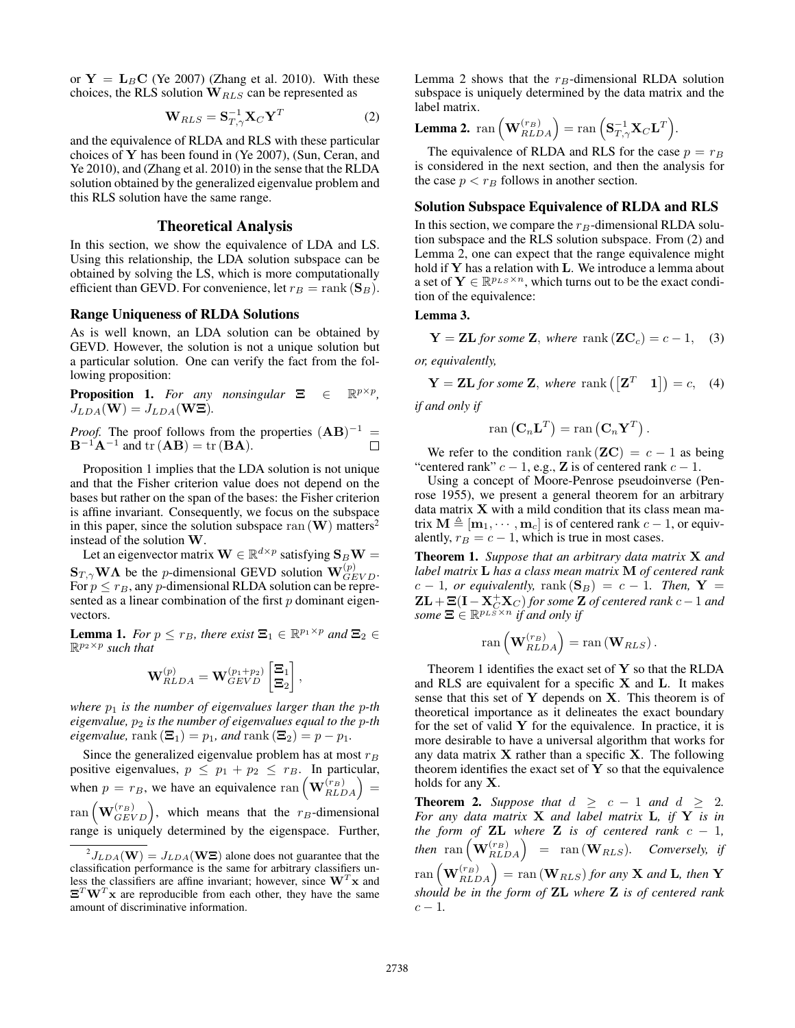or  $Y = L_B C$  (Ye 2007) (Zhang et al. 2010). With these choices, the RLS solution  $W_{RLS}$  can be represented as

$$
\mathbf{W}_{RLS} = \mathbf{S}_{T,\gamma}^{-1} \mathbf{X}_C \mathbf{Y}^T
$$
 (2)

and the equivalence of RLDA and RLS with these particular choices of Y has been found in (Ye 2007), (Sun, Ceran, and Ye 2010), and (Zhang et al. 2010) in the sense that the RLDA solution obtained by the generalized eigenvalue problem and this RLS solution have the same range.

## Theoretical Analysis

In this section, we show the equivalence of LDA and LS. Using this relationship, the LDA solution subspace can be obtained by solving the LS, which is more computationally efficient than GEVD. For convenience, let  $r_B = \text{rank}(\mathbf{S}_B)$ .

### Range Uniqueness of RLDA Solutions

As is well known, an LDA solution can be obtained by GEVD. However, the solution is not a unique solution but a particular solution. One can verify the fact from the following proposition:

**Proposition 1.** For any nonsingular  $\Xi \in \Theta$ p×p *,*  $J_{LDA}(\mathbf{W}) = J_{LDA}(\mathbf{W}\Xi)$ .

*Proof.* The proof follows from the properties  $(AB)^{-1}$  =  $\mathbf{B}^{-1}\mathbf{A}^{-1}$  and tr  $(\mathbf{A}\mathbf{B}) = \text{tr}(\mathbf{B}\mathbf{A}).$  $\Box$ 

Proposition 1 implies that the LDA solution is not unique and that the Fisher criterion value does not depend on the bases but rather on the span of the bases: the Fisher criterion is affine invariant. Consequently, we focus on the subspace in this paper, since the solution subspace ran  $(W)$  matters<sup>2</sup> instead of the solution W.

Let an eigenvector matrix  $\mathbf{W} \in \mathbb{R}^{d \times p}$  satisfying  $\mathbf{S}_B \mathbf{W} =$  $\mathbf{S}_{T,\gamma}$ WA be the *p*-dimensional GEVD solution  $\mathbf{W}_{GEVD}^{(p)}$ . For  $p \le r_B$ , any p-dimensional RLDA solution can be represented as a linear combination of the first  $p$  dominant eigenvectors.

**Lemma 1.** *For*  $p \le r_B$ *, there exist*  $\mathbf{\Xi}_1 \in \mathbb{R}^{p_1 \times p}$  *and*  $\mathbf{\Xi}_2 \in$ R p2×p *such that*

$$
\mathbf{W}^{(p)}_{RLDA} = \mathbf{W}^{(p_1+p_2)}_{GEVD} \begin{bmatrix} \Xi_1\\ \Xi_2 \end{bmatrix},
$$

*where*  $p_1$  *is the number of eigenvalues larger than the p-th eigenvalue,*  $p_2$  *is the number of eigenvalues equal to the p-th eigenvalue,* rank  $(\Xi_1) = p_1$ *, and* rank  $(\Xi_2) = p - p_1$ *.* 

Since the generalized eigenvalue problem has at most  $r_B$ positive eigenvalues,  $p \leq p_1 + p_2 \leq r_B$ . In particular, when  $p = r_B$ , we have an equivalence ran  $(\mathbf{W}_{RLDA}^{(r_B)}) =$  $\text{ran}\left(\mathbf{W}_{GEVD}^{(r_B)}\right)$ , which means that the  $r_B$ -dimensional range is uniquely determined by the eigenspace. Further, Lemma 2 shows that the  $r_B$ -dimensional RLDA solution subspace is uniquely determined by the data matrix and the label matrix.

**Lemma 2.** ran 
$$
\left(\mathbf{W}_{RLDA}^{(r_B)}\right) = \text{ran}\left(\mathbf{S}_{T,\gamma}^{-1}\mathbf{X}_C\mathbf{L}^T\right).
$$

The equivalence of RLDA and RLS for the case  $p = r_B$ is considered in the next section, and then the analysis for the case  $p < r_B$  follows in another section.

## Solution Subspace Equivalence of RLDA and RLS

In this section, we compare the  $r_B$ -dimensional RLDA solution subspace and the RLS solution subspace. From (2) and Lemma 2, one can expect that the range equivalence might hold if Y has a relation with L. We introduce a lemma about a set of  $Y \in \mathbb{R}^{p_{LS} \times n}$ , which turns out to be the exact condition of the equivalence:

## Lemma 3.

$$
\mathbf{Y} = \mathbf{Z} \mathbf{L} \text{ for some } \mathbf{Z}, \text{ where } \text{rank}(\mathbf{Z} \mathbf{C}_c) = c - 1, \quad (3)
$$

*or, equivalently,*

 $Y = ZL$  *for some* Z, where rank  $([Z^T \t1]) = c$ , (4)

*if and only if*

$$
\operatorname{ran}\left(\mathbf{C}_n\mathbf{L}^T\right)=\operatorname{ran}\left(\mathbf{C}_n\mathbf{Y}^T\right).
$$

We refer to the condition rank  $(\mathbf{Z}C) = c - 1$  as being "centered rank"  $c - 1$ , e.g., **Z** is of centered rank  $c - 1$ .

Using a concept of Moore-Penrose pseudoinverse (Penrose 1955), we present a general theorem for an arbitrary data matrix  $X$  with a mild condition that its class mean matrix  $\mathbf{M} \triangleq [\mathbf{m}_1, \cdots, \mathbf{m}_c]$  is of centered rank  $c - 1$ , or equivalently,  $r_B = c - 1$ , which is true in most cases.

Theorem 1. *Suppose that an arbitrary data matrix* X *and label matrix* L *has a class mean matrix* M *of centered rank*  $c - 1$ *, or equivalently,* rank  $(\mathbf{S}_B) = c - 1$ *. Then,*  $\mathbf{Y} =$  $\mathbf{ZL}+\mathbf{\Xi}(\mathbf{I}-\mathbf{X}_{C}^{+}\mathbf{X}_{C})$  for some  $\mathbf{Z}$  of centered rank  $c-1$  and *some*  $\Xi \in \mathbb{R}^{p_{LS} \times n}$  *if and only if* 

$$
\operatorname{ran}\left(\mathbf{W}_{RLDA}^{(r_B)}\right)=\operatorname{ran}\left(\mathbf{W}_{RLS}\right).
$$

Theorem 1 identifies the exact set of  $Y$  so that the RLDA and RLS are equivalent for a specific  $X$  and  $L$ . It makes sense that this set of  $Y$  depends on  $X$ . This theorem is of theoretical importance as it delineates the exact boundary for the set of valid  $Y$  for the equivalence. In practice, it is more desirable to have a universal algorithm that works for any data matrix  $X$  rather than a specific  $X$ . The following theorem identifies the exact set of  $Y$  so that the equivalence holds for any X.

**Theorem 2.** Suppose that  $d \geq c - 1$  and  $d \geq 2$ . *For any data matrix* X *and label matrix* L*, if* Y *is in the form of* **ZL** *where* **Z** *is of centered rank*  $c - 1$ *,*  $then \ \ \operatorname{ran}\left(\mathbf{W}_{RLDA}^{(r_B)}\right) \ \ = \ \ \operatorname{ran}\left(\mathbf{W}_{RLS}\right). \quad \emph{Conversely, if}$  $\text{ran}\left(\mathbf{W}_{RLDA}^{(r_B)}\right) = \text{ran}\left(\mathbf{W}_{RLS}\right)$  for any  $\mathbf X$  and  $\mathbf L$ *, then*  $\mathbf Y$ *should be in the form of* ZL *where* Z *is of centered rank*  $c - 1$ .

 $^{2}J_{LDA}(\mathbf{W})=J_{LDA}(\mathbf{W}\boldsymbol{\Xi})$  alone does not guarantee that the classification performance is the same for arbitrary classifiers unless the classifiers are affine invariant; however, since  $W<sup>T</sup>x$  and  $\Xi^T \mathbf{W}^T \mathbf{x}$  are reproducible from each other, they have the same amount of discriminative information.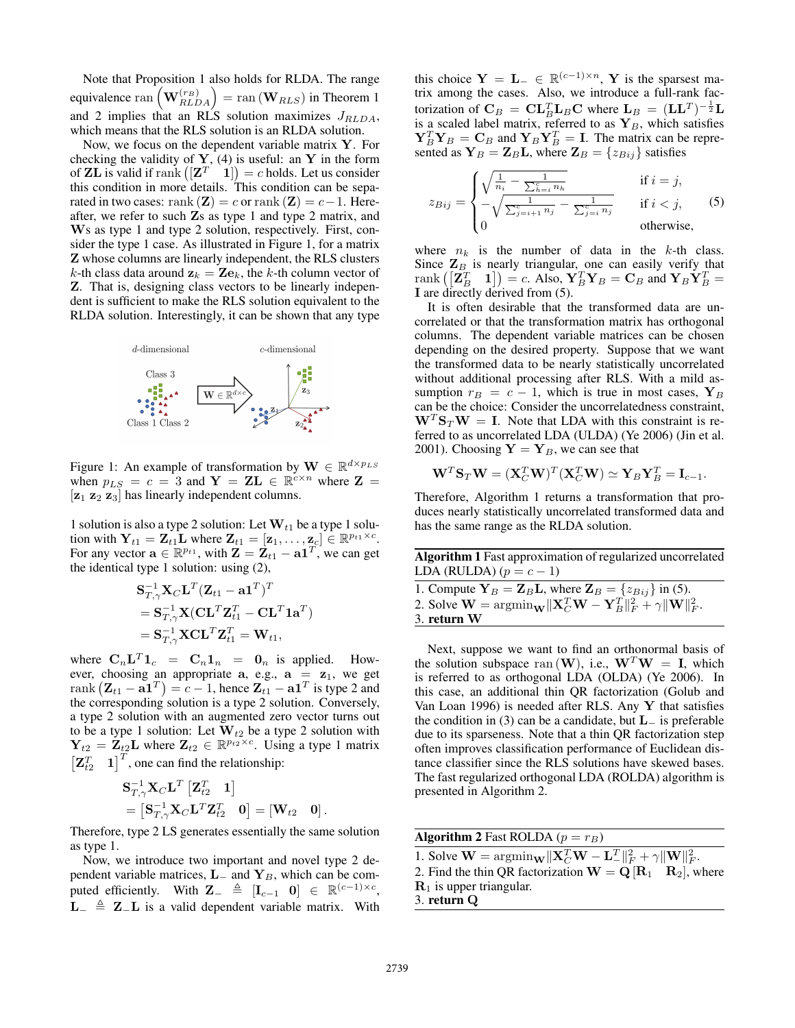Note that Proposition 1 also holds for RLDA. The range equivalence  $\text{ran}\left(\mathbf{W}_{RLDA}^{(r_B)}\right) = \text{ran}\left(\mathbf{W}_{RLS}\right)$  in Theorem 1 and 2 implies that an RLS solution maximizes  $J_{RLDA}$ , which means that the RLS solution is an RLDA solution.

Now, we focus on the dependent variable matrix  $Y$ . For checking the validity of  $Y$ , (4) is useful: an Y in the form of **ZL** is valid if rank  $\left(\begin{bmatrix} \mathbf{Z}^T & 1 \end{bmatrix}\right) = c$  holds. Let us consider this condition in more details. This condition can be separated in two cases: rank  $(\mathbf{Z}) = c$  or rank  $(\mathbf{Z}) = c - 1$ . Hereafter, we refer to such Zs as type 1 and type 2 matrix, and Ws as type 1 and type 2 solution, respectively. First, consider the type 1 case. As illustrated in Figure 1, for a matrix Z whose columns are linearly independent, the RLS clusters k-th class data around  $z_k = Ze_k$ , the k-th column vector of Z. That is, designing class vectors to be linearly independent is sufficient to make the RLS solution equivalent to the RLDA solution. Interestingly, it can be shown that any type



Figure 1: An example of transformation by  $\mathbf{W} \in \mathbb{R}^{d \times p_{LS}}$ when  $p_{LS} = c = 3$  and  $Y = ZL \in \mathbb{R}^{c \times n}$  where  $Z =$  $[z_1 \, z_2 \, z_3]$  has linearly independent columns.

1 solution is also a type 2 solution: Let  $W_{t1}$  be a type 1 solution with  $Y_{t1} = Z_{t1}$ **L** where  $Z_{t1} = [z_1, \dots, z_c] \in \mathbb{R}^{p_{t1} \times c}$ . For any vector  $\mathbf{a} \in \mathbb{R}^{p_{t1}}$ , with  $\mathbf{Z} = \mathbf{Z}_{t1} - \mathbf{a1}^T$ , we can get the identical type 1 solution: using (2),

$$
\begin{aligned} &\mathbf{S}_{T,\gamma}^{-1}\mathbf{X}_{C}\mathbf{L}^{T}(\mathbf{Z}_{t1}-\mathbf{a1}^{T})^{T} \\ &=\mathbf{S}_{T,\gamma}^{-1}\mathbf{X}(\mathbf{C}\mathbf{L}^{T}\mathbf{Z}_{t1}^{T}-\mathbf{C}\mathbf{L}^{T}\mathbf{1}\mathbf{a}^{T}) \\ &=\mathbf{S}_{T,\gamma}^{-1}\mathbf{X}\mathbf{C}\mathbf{L}^{T}\mathbf{Z}_{t1}^{T}=\mathbf{W}_{t1}, \end{aligned}
$$

where  $C_n L^T 1_c = C_n 1_n = 0_n$  is applied. However, choosing an appropriate  $a$ , e.g.,  $a = z_1$ , we get rank  $(\mathbf{Z}_{t1} - \mathbf{a1}^T) = c - 1$ , hence  $\mathbf{Z}_{t1} - \mathbf{a1}^T$  is type 2 and the corresponding solution is a type 2 solution. Conversely, a type 2 solution with an augmented zero vector turns out to be a type 1 solution: Let  $\mathbf{W}_{t2}$  be a type 2 solution with  $Y_{t2} = \mathbf{Z}_{t2} \mathbf{L}$  where  $\mathbf{Z}_{t2} \in \mathbb{R}^{p_{t2} \times c}$ . Using a type 1 matrix  $\begin{bmatrix} \mathbf{Z}_{t2}^T & \mathbf{1} \end{bmatrix}^T$ , one can find the relationship:

$$
\begin{aligned} &\mathbf{S}_{T,\gamma}^{-1}\mathbf{X}_C\mathbf{L}^T\left[\mathbf{Z}_{t2}^T\quad \mathbf{1}\right] \\ &=\left[\mathbf{S}_{T,\gamma}^{-1}\mathbf{X}_C\mathbf{L}^T\mathbf{Z}_{t2}^T\quad \mathbf{0}\right]=\left[\mathbf{W}_{t2}\quad \mathbf{0}\right]. \end{aligned}
$$

Therefore, type 2 LS generates essentially the same solution as type 1.

Now, we introduce two important and novel type 2 dependent variable matrices,  $L_$  and  $Y_B$ , which can be computed efficiently. With  $\mathbf{Z}_{-} \triangleq [\mathbf{I}_{c-1} \quad \mathbf{0}] \in \mathbb{R}^{(c-1)\times c}$ ,  $L_$   $\triangleq$  Z<sub>−</sub>L is a valid dependent variable matrix. With

this choice  $Y = L_-\in \mathbb{R}^{(c-1)\times n}$ , Y is the sparsest matrix among the cases. Also, we introduce a full-rank factorization of  $\mathbf{C}_B = \mathbf{C}\mathbf{L}_B^T\mathbf{L}_B\mathbf{C}$  where  $\mathbf{L}_B = (\mathbf{L}\mathbf{L}^T)^{-\frac{1}{2}}\mathbf{L}$ is a scaled label matrix, referred to as  $Y_B$ , which satisfies  ${\bf Y}_B^T{\bf Y}_B={\bf C}_B$  and  ${\bf Y}_B{\bf Y}_B^T={\bf I}$ . The matrix can be represented as  $Y_B = Z_B L$ , where  $Z_B = \{z_{Bij}\}\$  satisfies

$$
z_{Bij} = \begin{cases} \sqrt{\frac{1}{n_i} - \frac{1}{\sum_{h=i}^{c} n_h}} & \text{if } i = j, \\ -\sqrt{\frac{1}{\sum_{j=i+1}^{c} n_j} - \frac{1}{\sum_{j=i}^{c} n_j}} & \text{if } i < j, \\ 0 & \text{otherwise,} \end{cases}
$$
(5)

where  $n_k$  is the number of data in the k-th class. Since  $\mathbf{Z}_B$  is nearly triangular, one can easily verify that rank  $([\mathbf{Z}_B^T \quad 1]) = c$ . Also,  $\mathbf{Y}_B^T \mathbf{Y}_B = \mathbf{C}_B$  and  $\mathbf{Y}_B \dot{\mathbf{Y}}_B^T =$ I are directly derived from (5).

It is often desirable that the transformed data are uncorrelated or that the transformation matrix has orthogonal columns. The dependent variable matrices can be chosen depending on the desired property. Suppose that we want the transformed data to be nearly statistically uncorrelated without additional processing after RLS. With a mild assumption  $r_B = c - 1$ , which is true in most cases,  $Y_B$ can be the choice: Consider the uncorrelatedness constraint,  $W<sup>T</sup>S<sub>T</sub>W = I$ . Note that LDA with this constraint is referred to as uncorrelated LDA (ULDA) (Ye 2006) (Jin et al. 2001). Choosing  $Y = Y_B$ , we can see that

$$
\mathbf{W}^T \mathbf{S}_T \mathbf{W} = (\mathbf{X}_C^T \mathbf{W})^T (\mathbf{X}_C^T \mathbf{W}) \simeq \mathbf{Y}_B \mathbf{Y}_B^T = \mathbf{I}_{c-1}.
$$

Therefore, Algorithm 1 returns a transformation that produces nearly statistically uncorrelated transformed data and has the same range as the RLDA solution.

| Algorithm 1 Fast approximation of regularized uncorrelated                                                                                  |
|---------------------------------------------------------------------------------------------------------------------------------------------|
| LDA (RULDA) $(p = c - 1)$                                                                                                                   |
| 1. Compute $Y_B = Z_B L$ , where $Z_B = \{z_{Bij}\}\$ in (5).                                                                               |
| 2. Solve $\mathbf{W} = \operatorname{argmin}_{\mathbf{W}} \ \mathbf{X}_C^T \mathbf{W} - \mathbf{Y}_B^T\ _F^2 + \gamma \ \mathbf{W}\ _F^2$ . |
| 3. return W                                                                                                                                 |

Next, suppose we want to find an orthonormal basis of the solution subspace ran  $(W)$ , i.e.,  $W^T W = I$ , which is referred to as orthogonal LDA (OLDA) (Ye 2006). In this case, an additional thin QR factorization (Golub and Van Loan 1996) is needed after RLS. Any  $Y$  that satisfies the condition in (3) can be a candidate, but  $L_$  is preferable due to its sparseness. Note that a thin QR factorization step often improves classification performance of Euclidean distance classifier since the RLS solutions have skewed bases. The fast regularized orthogonal LDA (ROLDA) algorithm is presented in Algorithm 2.

| <b>Algorithm 2</b> Fast ROLDA ( $p = r_B$ )                                                                                                 |
|---------------------------------------------------------------------------------------------------------------------------------------------|
| 1. Solve $\mathbf{W} = \operatorname{argmin}_{\mathbf{W}} \ \mathbf{X}_C^T \mathbf{W} - \mathbf{L}_-^T\ _F^2 + \gamma \ \mathbf{W}\ _F^2$ . |
| 2. Find the thin QR factorization $\mathbf{W} = \mathbf{Q} [\mathbf{R}_1 \quad \mathbf{R}_2]$ , where                                       |
| $R1$ is upper triangular.                                                                                                                   |
| $3.$ return $Q$                                                                                                                             |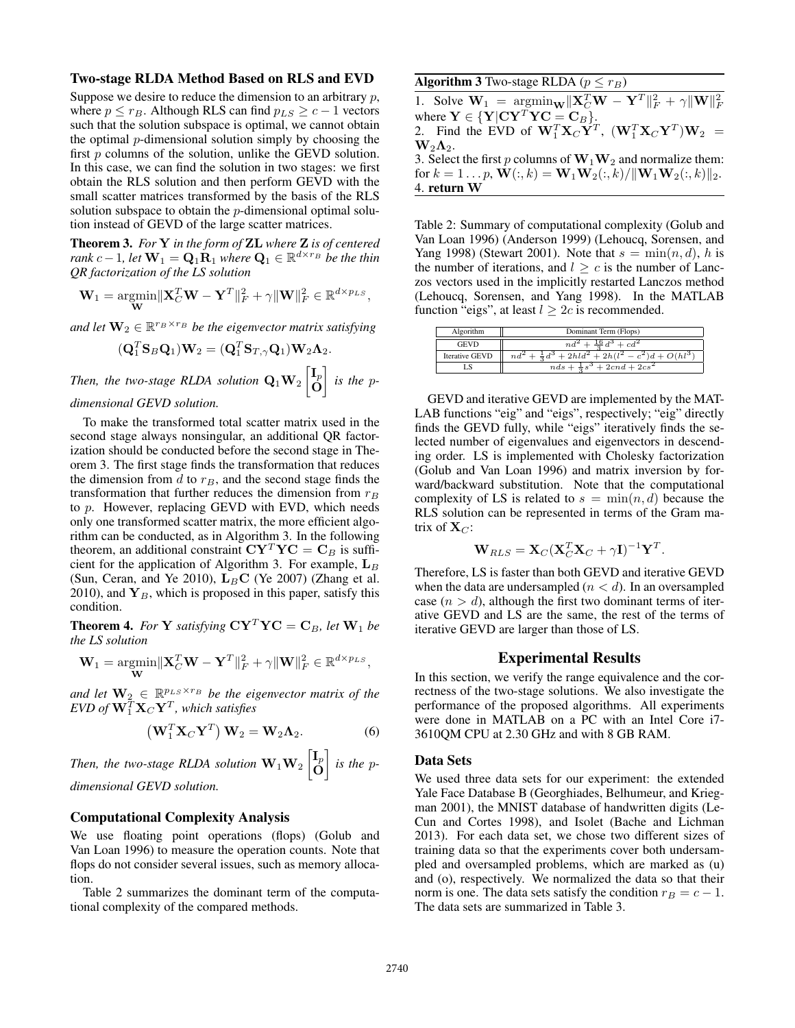### Two-stage RLDA Method Based on RLS and EVD

Suppose we desire to reduce the dimension to an arbitrary  $p$ , where  $p \le r_B$ . Although RLS can find  $p_{LS} \ge c - 1$  vectors such that the solution subspace is optimal, we cannot obtain the optimal p-dimensional solution simply by choosing the first p columns of the solution, unlike the GEVD solution. In this case, we can find the solution in two stages: we first obtain the RLS solution and then perform GEVD with the small scatter matrices transformed by the basis of the RLS solution subspace to obtain the *p*-dimensional optimal solution instead of GEVD of the large scatter matrices.

Theorem 3. *For* Y *in the form of* ZL *where* Z *is of centered rank*  $c-1$ , let  $\mathbf{W}_1 = \mathbf{Q}_1 \dot{\mathbf{R}}_1$  where  $\mathbf{Q}_1 \in \mathbb{R}^{d \times r_B}$  be the thin *QR factorization of the LS solution*

$$
\mathbf{W}_1 = \underset{\mathbf{W}}{\text{argmin}} \|\mathbf{X}_C^T \mathbf{W} - \mathbf{Y}^T\|_F^2 + \gamma \|\mathbf{W}\|_F^2 \in \mathbb{R}^{d \times p_{LS}},
$$

and let  $\mathbf{W}_2 \in \mathbb{R}^{r_B \times r_B}$  be the eigenvector matrix satisfying

$$
(\mathbf{Q}_1^T \mathbf{S}_B \mathbf{Q}_1) \mathbf{W}_2 = (\mathbf{Q}_1^T \mathbf{S}_{T,\gamma} \mathbf{Q}_1) \mathbf{W}_2 \mathbf{\Lambda}_2.
$$

Then, the two-stage RLDA solution  $Q_1W_2$   $\begin{bmatrix} I_p \ 0 \end{bmatrix}$ O *is the* p*-*

## *dimensional GEVD solution.*

To make the transformed total scatter matrix used in the second stage always nonsingular, an additional QR factorization should be conducted before the second stage in Theorem 3. The first stage finds the transformation that reduces the dimension from d to  $r_B$ , and the second stage finds the transformation that further reduces the dimension from  $r_B$ to  $p$ . However, replacing GEVD with EVD, which needs only one transformed scatter matrix, the more efficient algorithm can be conducted, as in Algorithm 3. In the following theorem, an additional constraint  $CY^T YC = C_B$  is sufficient for the application of Algorithm 3. For example,  $L_B$ (Sun, Ceran, and Ye 2010),  $L_B C$  (Ye 2007) (Zhang et al. 2010), and  $Y_B$ , which is proposed in this paper, satisfy this condition.

**Theorem 4.** *For* **Y** *satisfying*  $\mathbf{C}\mathbf{Y}^T\mathbf{Y}\mathbf{C} = \mathbf{C}_B$ *, let*  $\mathbf{W}_1$  *be the LS solution*

$$
\mathbf{W}_1 = \underset{\mathbf{W}}{\operatorname{argmin}} \|\mathbf{X}_C^T \mathbf{W} - \mathbf{Y}^T\|_F^2 + \gamma \|\mathbf{W}\|_F^2 \in \mathbb{R}^{d \times p_{LS}},
$$

and let  $\mathbf{W}_2 \in \mathbb{R}_{-}^{p_{LS} \times r_B}$  be the eigenvector matrix of the  $EVD$  of  $\mathbf{W}_{1}^{T}\mathbf{X}_{C}\mathbf{Y}^{T}$ , which satisfies

$$
\left(\mathbf{W}_1^T \mathbf{X}_C \mathbf{Y}^T\right) \mathbf{W}_2 = \mathbf{W}_2 \mathbf{\Lambda}_2. \tag{6}
$$

Then, the two-stage RLDA solution  $\mathbf{W}_1 \mathbf{W}_2$   $\begin{bmatrix} \mathbf{I}_p & h_{1r} & h_{1r} \end{bmatrix}$ O *is the* p*dimensional GEVD solution.*

### Computational Complexity Analysis

We use floating point operations (flops) (Golub and Van Loan 1996) to measure the operation counts. Note that flops do not consider several issues, such as memory allocation.

Table 2 summarizes the dominant term of the computational complexity of the compared methods.

## Algorithm 3 Two-stage RLDA ( $p \le r_B$ )

1. Solve  $\mathbf{W}_1 = \operatorname{argmin}_{\mathbf{W}} \|\mathbf{X}_C^T \mathbf{W} - \mathbf{Y}^T\|_F^2 + \gamma \|\mathbf{W}\|_F^2$ <br>where  $\mathbf{Y} \in \{\mathbf{Y} | \mathbf{C} \mathbf{Y}^T \mathbf{Y} \mathbf{C} = \mathbf{C}_B\}$ . 2. Find the EVD of  $\mathbf{W}_1^T \mathbf{X}_C \mathbf{Y}^T$ ,  $(\mathbf{W}_1^T \mathbf{X}_C \mathbf{Y}^T) \mathbf{W}_2$  =  $W_2\Lambda_2$ . 3. Select the first p columns of  $\mathbf{W}_1 \mathbf{W}_2$  and normalize them: for  $k = 1 \dots p$ ,  $\mathbf{W}(:, k) = \mathbf{W}_1 \mathbf{W}_2(:, k) / ||\mathbf{W}_1 \mathbf{W}_2(:, k)||_2$ . 4. return W

Table 2: Summary of computational complexity (Golub and Van Loan 1996) (Anderson 1999) (Lehoucq, Sorensen, and Yang 1998) (Stewart 2001). Note that  $s = \min(n, d)$ , h is the number of iterations, and  $l \geq c$  is the number of Lanczos vectors used in the implicitly restarted Lanczos method (Lehoucq, Sorensen, and Yang 1998). In the MATLAB function "eigs", at least  $l \geq 2c$  is recommended.

| Algorithm             | Dominant Term (Flops)                                       |
|-----------------------|-------------------------------------------------------------|
| <b>GEVD</b>           | $nd^2 + \frac{16}{2}d^3 + cd^2$                             |
| <b>Iterative GEVD</b> | $nd^2 + \frac{1}{2}d^3 + 2hld^2 + 2h(l^2 - c^2)d + O(hl^3)$ |
| LS                    | $nds + \frac{1}{2}s^3 + 2cnd + 2cs^2$                       |

GEVD and iterative GEVD are implemented by the MAT-LAB functions "eig" and "eigs", respectively; "eig" directly finds the GEVD fully, while "eigs" iteratively finds the selected number of eigenvalues and eigenvectors in descending order. LS is implemented with Cholesky factorization (Golub and Van Loan 1996) and matrix inversion by forward/backward substitution. Note that the computational complexity of LS is related to  $s = \min(n, d)$  because the RLS solution can be represented in terms of the Gram matrix of  $X_C$ :

$$
\mathbf{W}_{RLS} = \mathbf{X}_C (\mathbf{X}_C^T \mathbf{X}_C + \gamma \mathbf{I})^{-1} \mathbf{Y}^T.
$$

Therefore, LS is faster than both GEVD and iterative GEVD when the data are undersampled  $(n < d)$ . In an oversampled case  $(n > d)$ , although the first two dominant terms of iterative GEVD and LS are the same, the rest of the terms of iterative GEVD are larger than those of LS.

## Experimental Results

In this section, we verify the range equivalence and the correctness of the two-stage solutions. We also investigate the performance of the proposed algorithms. All experiments were done in MATLAB on a PC with an Intel Core i7- 3610QM CPU at 2.30 GHz and with 8 GB RAM.

#### Data Sets

We used three data sets for our experiment: the extended Yale Face Database B (Georghiades, Belhumeur, and Kriegman 2001), the MNIST database of handwritten digits (Le-Cun and Cortes 1998), and Isolet (Bache and Lichman 2013). For each data set, we chose two different sizes of training data so that the experiments cover both undersampled and oversampled problems, which are marked as (u) and (o), respectively. We normalized the data so that their norm is one. The data sets satisfy the condition  $r_B = c - 1$ . The data sets are summarized in Table 3.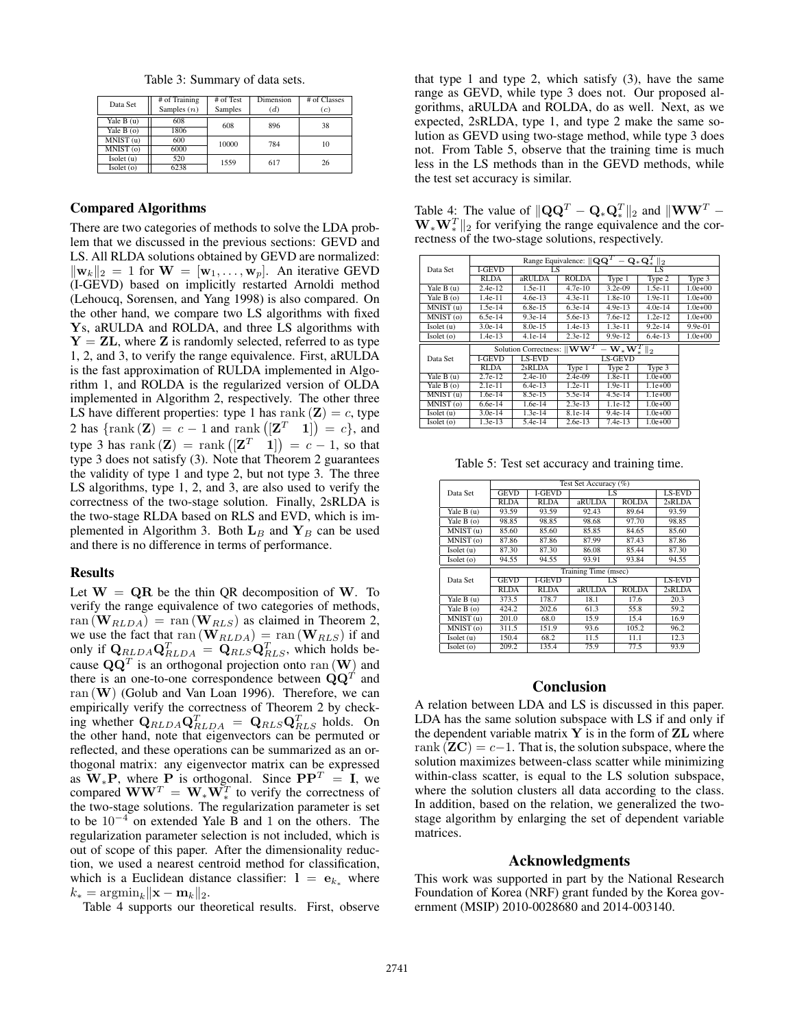Table 3: Summary of data sets.

| Data Set                   | # of Training<br>Samples $(n)$ | # of Test<br>Samples | Dimension<br>(d) | # of Classes<br>(c) |
|----------------------------|--------------------------------|----------------------|------------------|---------------------|
| Yale $B(u)$<br>Yale $B(0)$ | 608<br>1806                    | 608                  | 896              | 38                  |
| MNIST (u)<br>MNIST(0)      | 600<br>6000                    | 10000                | 784              | 10                  |
| Isolet(u)<br>Isolet(0)     | 520<br>6238                    | 1559                 | 617              | 26                  |

### Compared Algorithms

There are two categories of methods to solve the LDA problem that we discussed in the previous sections: GEVD and LS. All RLDA solutions obtained by GEVD are normalized:  $\|\mathbf{w}_k\|_2 = 1$  for  $\mathbf{W} = [\mathbf{w}_1, \dots, \mathbf{w}_p]$ . An iterative GEVD (I-GEVD) based on implicitly restarted Arnoldi method (Lehoucq, Sorensen, and Yang 1998) is also compared. On the other hand, we compare two LS algorithms with fixed Ys, aRULDA and ROLDA, and three LS algorithms with  $Y = ZL$ , where Z is randomly selected, referred to as type 1, 2, and 3, to verify the range equivalence. First, aRULDA is the fast approximation of RULDA implemented in Algorithm 1, and ROLDA is the regularized version of OLDA implemented in Algorithm 2, respectively. The other three LS have different properties: type 1 has rank  $(\mathbf{Z}) = c$ , type 2 has  $\{\text{rank}(\mathbf{Z}) = c - 1 \text{ and } \text{rank}([\mathbf{Z}^T \quad 1]) = c\}$ , and type 3 has rank  $(Z) = \text{rank}([Z^T \quad 1]) = c - 1$ , so that type 3 does not satisfy (3). Note that Theorem 2 guarantees the validity of type 1 and type 2, but not type 3. The three LS algorithms, type 1, 2, and 3, are also used to verify the correctness of the two-stage solution. Finally, 2sRLDA is the two-stage RLDA based on RLS and EVD, which is implemented in Algorithm 3. Both  $L_B$  and  $Y_B$  can be used and there is no difference in terms of performance.

### Results

Let  $W = QR$  be the thin QR decomposition of W. To verify the range equivalence of two categories of methods,  $ran (W_{RLDA}) = ran (W_{RLS})$  as claimed in Theorem 2, we use the fact that  $\text{ran}(\mathbf{W}_{RLDA}) = \text{ran}(\mathbf{W}_{RLS})$  if and only if  $\mathbf{Q}_{RLDA} \mathbf{Q}_{RLDA}^T = \mathbf{Q}_{RLS} \mathbf{Q}_{RLS}^T$ , which holds because  $\mathbf{Q}\mathbf{Q}^T$  is an orthogonal projection onto ran  $(\mathbf{W})$  and there is an one-to-one correspondence between  $\mathbf{Q}\mathbf{Q}^T$  and  $ran(W)$  (Golub and Van Loan 1996). Therefore, we can empirically verify the correctness of Theorem 2 by checking whether  $\mathbf{Q}_{RLDA}\mathbf{Q}_{RLDA}^T = \mathbf{Q}_{RLS}\mathbf{Q}_{RLS}^T$  holds. On the other hand, note that eigenvectors can be permuted or reflected, and these operations can be summarized as an orthogonal matrix: any eigenvector matrix can be expressed as  $W_*P$ , where P is orthogonal. Since  $PP^T = I$ , we compared  $WW^T = W_*W_*^T$  to verify the correctness of the two-stage solutions. The regularization parameter is set to be  $10^{-4}$  on extended Yale B and 1 on the others. The regularization parameter selection is not included, which is out of scope of this paper. After the dimensionality reduction, we used a nearest centroid method for classification, which is a Euclidean distance classifier:  $l = e_{k*}$  where  $k_* = \operatorname{argmin}_k ||\mathbf{x} - \mathbf{m}_k||_2.$ 

Table 4 supports our theoretical results. First, observe

that type 1 and type 2, which satisfy  $(3)$ , have the same range as GEVD, while type 3 does not. Our proposed algorithms, aRULDA and ROLDA, do as well. Next, as we expected, 2sRLDA, type 1, and type 2 make the same solution as GEVD using two-stage method, while type 3 does not. From Table 5, observe that the training time is much less in the LS methods than in the GEVD methods, while the test set accuracy is similar.

Table 4: The value of  $\|\mathbf{Q}\mathbf{Q}^T - \mathbf{Q}_*\mathbf{Q}_*^T\|_2$  and  $\|\mathbf{W}\mathbf{W}^T - \mathbf{Q}_*\|_2^2$  $\mathbf{W}_{*}\mathbf{W}_{*}^{T}$  for verifying the range equivalence and the correctness of the two-stage solutions, respectively.

|                      |               |                                                    | Range Equivalence: $\mathbf{Q}\mathbf{Q}^T$ |                                                      | $-$ Q $_{*}$ Q $_{*}^{\prime}$ $\parallel_{2}$ |             |
|----------------------|---------------|----------------------------------------------------|---------------------------------------------|------------------------------------------------------|------------------------------------------------|-------------|
| Data Set             | <b>I-GEVD</b> | LS                                                 |                                             |                                                      | LS                                             |             |
|                      | <b>RLDA</b>   | aRULDA                                             | <b>ROLDA</b>                                | Type 1                                               | Type 2                                         | Type 3      |
| Yale B (u)           | $2.4e-12$     | $1.5e-11$                                          | $4.7e-10$                                   | $3.2e-09$                                            | $1.5e-11$                                      | $1.0e + 00$ |
| Yale B (o)           | $1.4e-11$     | $4.6e-13$                                          | $4.3e-11$                                   | $1.8e-10$                                            | $1.9e-11$                                      | $1.0e + 00$ |
| MNIST (u)            | 1.5e-14       | $6.8e-15$                                          | $6.3e-14$                                   | $4.9e-13$                                            | $4.0e-14$                                      | $1.0e + 00$ |
| MNIST(0)             | $6.5e-14$     | $9.3e-14$                                          | 5.6e-13                                     | 7.6e-12                                              | $1.2e-12$                                      | $1.0e + 00$ |
| Isolet (u)           | $3.0e-14$     | $8.0e-15$                                          | 1.4e-13                                     | $1.3e-11$                                            | $9.2e-14$                                      | $9.9e-01$   |
| Isolet(o)            | $1.4e-13$     | $4.1e-14$                                          | $2.3e-12$                                   | $9.9e-12$                                            | $6.4e-13$                                      | $1.0e + 00$ |
|                      |               | Solution Correctness: $\ \mathbf{W}\mathbf{W}^T\ $ |                                             | $-\overline{\mathbf{W}_{*}\mathbf{W}^{T}_{*}}\ _{2}$ |                                                |             |
| Data Set             | <b>LGEVD</b>  | LS-EVD                                             |                                             | <b>LS-GEVD</b>                                       |                                                |             |
|                      | <b>RLDA</b>   | $2sRI$ DA                                          | Type 1                                      | Type 2                                               | Type 3                                         |             |
| Yale $B(u)$          | $2.7e-12$     | $2.4e-10$                                          | $2.4e-09$                                   | $1.8e-11$                                            | $1.0e + 00$                                    |             |
| Yale B (o)           | $2.1e-11$     | $6.4e-13$                                          | $1.2e-11$                                   | $1.9e-11$                                            | $1.1e+00$                                      |             |
| MNIST(u)             | 1.6e-14       | 8.5e-15                                            | 5.5e-14                                     | $4.5e-14$                                            | $1.1e+00$                                      |             |
| MNIST <sub>(0)</sub> | $6.6e-14$     | 1.6e-14                                            | $2.3e-13$                                   | $1.1e-12$                                            | $1.0e + 00$                                    |             |
| Isolet(u)            | $3.0e-14$     | 1.3e-14                                            | $8.1e-14$                                   | $9.4e-14$                                            | $1.0e + 00$                                    |             |
| Isolet(0)            | $1.3e-13$     | $5.4e-14$                                          | $2.6e-13$                                   | $7.4e-13$                                            | $1.0e+00$                                      |             |

Table 5: Test set accuracy and training time.

|                      | Test Set Accuracy (%) |               |        |              |               |  |
|----------------------|-----------------------|---------------|--------|--------------|---------------|--|
| Data Set             | <b>GEVD</b>           | <b>LGEVD</b>  | LS     |              | <b>LS-EVD</b> |  |
|                      | <b>RLDA</b>           | <b>RLDA</b>   | aRULDA | <b>ROLDA</b> | 2sRLDA        |  |
| Yale $B(u)$          | 93.59                 | 93.59         | 92.43  | 89.64        | 93.59         |  |
| Yale B (o)           | 98.85                 | 98.85         | 98.68  | 97.70        | 98.85         |  |
| MNIST(u)             | 85.60                 | 85.60         | 85.85  | 84.65        | 85.60         |  |
| MNIST <sub>(0)</sub> | 87.86                 | 87.86         | 87.99  | 87.43        | 87.86         |  |
| Isolet (u)           | 87.30                 | 87.30         | 86.08  | 85.44        | 87.30         |  |
| Isolet (o)           | 94.55                 | 94.55         | 93.91  | 93.84        | 94.55         |  |
|                      | Training Time (msec)  |               |        |              |               |  |
|                      |                       |               |        |              |               |  |
| Data Set             | <b>GEVD</b>           | <b>I-GEVD</b> | LS     |              | <b>LS-EVD</b> |  |
|                      | <b>RLDA</b>           | <b>RLDA</b>   | aRULDA | <b>ROLDA</b> | 2sRLDA        |  |
| Yale $B(u)$          | 373.5                 | 178.7         | 18.1   | 17.6         | 20.3          |  |
| Yale $B(0)$          | 424.2                 | 202.6         | 61.3   | 55.8         | 59.2          |  |
| MNIST(u)             | 201.0                 | 68.0          | 15.9   | 15.4         | 16.9          |  |
| MNIST(0)             | 311.5                 | 151.9         | 93.6   | 105.2        | 96.2          |  |
| Isolet (u)           | 150.4                 | 68.2          | 11.5   | 11.1         | 12.3          |  |

## Conclusion

A relation between LDA and LS is discussed in this paper. LDA has the same solution subspace with LS if and only if the dependent variable matrix  $Y$  is in the form of  $ZL$  where rank  $(\mathbf{Z} \mathbf{C}) = c - 1$ . That is, the solution subspace, where the solution maximizes between-class scatter while minimizing within-class scatter, is equal to the LS solution subspace, where the solution clusters all data according to the class. In addition, based on the relation, we generalized the twostage algorithm by enlarging the set of dependent variable matrices.

## Acknowledgments

This work was supported in part by the National Research Foundation of Korea (NRF) grant funded by the Korea government (MSIP) 2010-0028680 and 2014-003140.